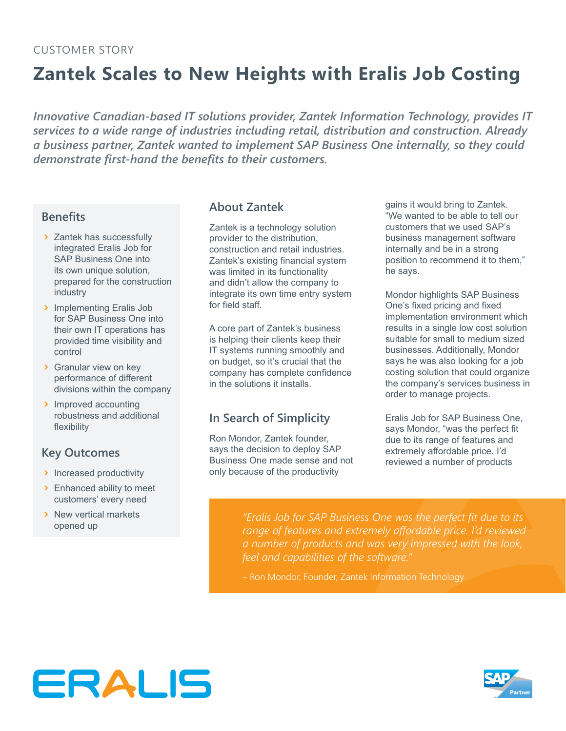# **Zantek Scales to New Heights with Eralis Job Costing**

*Innovative Canadian-based IT solutions provider, Zantek Information Technology, provides IT services to a wide range of industries including retail, distribution and construction. Already a business partner, Zantek wanted to implement SAP Business One internally, so they could demonstrate first‑hand the benefits to their customers.*

#### **Benefits**

- > Zantek has successfully integrated Eralis Job for SAP Business One into its own unique solution, prepared for the construction industry
- ጉ Implementing Eralis Job for SAP Business One into their own IT operations has provided time visibility and control
- ▶ Granular view on key performance of different divisions within the company
- > Improved accounting robustness and additional flexibility

### **Key Outcomes**

- > Increased productivity
- ጉ Enhanced ability to meet customers' every need
- ጉ New vertical markets opened up

#### **About Zantek**

Zantek is a technology solution provider to the distribution, construction and retail industries. Zantek's existing financial system was limited in its functionality and didn't allow the company to integrate its own time entry system for field staff.

A core part of Zantek's business is helping their clients keep their IT systems running smoothly and on budget, so it's crucial that the company has complete confidence in the solutions it installs.

## **In Search of Simplicity**

Ron Mondor, Zantek founder, says the decision to deploy SAP Business One made sense and not only because of the productivity

gains it would bring to Zantek. "We wanted to be able to tell our customers that we used SAP's business management software internally and be in a strong position to recommend it to them," he says.

Mondor highlights SAP Business One's fixed pricing and fixed implementation environment which results in a single low cost solution suitable for small to medium sized businesses. Additionally, Mondor says he was also looking for a job costing solution that could organize the company's services business in order to manage projects.

Eralis Job for SAP Business One, says Mondor, "was the perfect fit due to its range of features and extremely affordable price. I'd reviewed a number of products

*"Eralis Job for SAP Business One was the perfect fit due to its range of features and extremely affordable price. I'd reviewed a number of products and was very impressed with the look, feel and capabilities of the software."*

– Ron Mondor, Founder, Zantek Information Technology